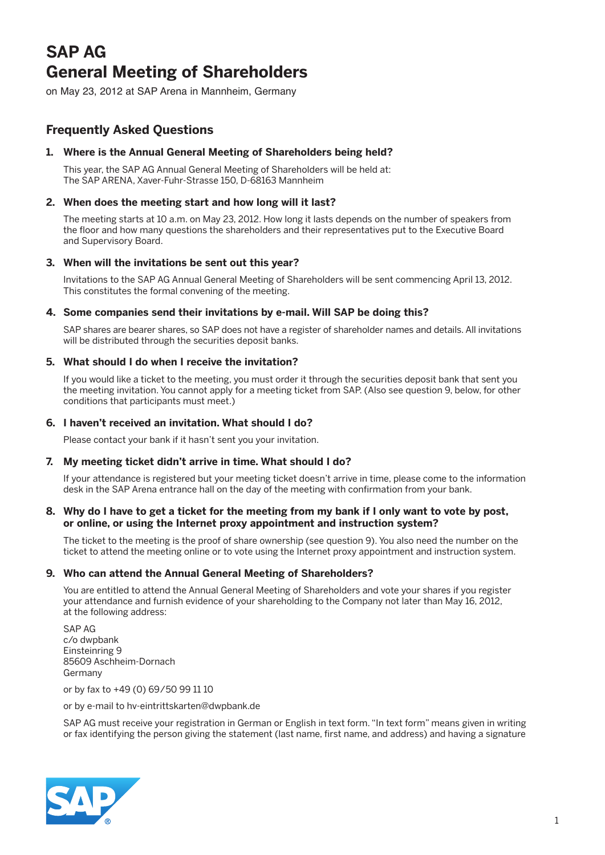# **SAP AG General Meeting of Shareholders**

on May 23, 2012 at SAP Arena in Mannheim, Germany

## **Frequently Asked Questions**

## **1. Where is the Annual General Meeting of Shareholders being held?**

 This year, the SAP AG Annual General Meeting of Shareholders will be held at: The SAP ARENA, Xaver-Fuhr-Strasse 150, D-68163 Mannheim

## **2. When does the meeting start and how long will it last?**

 The meeting starts at 10 a.m. on May 23, 2012. How long it lasts depends on the number of speakers from the floor and how many questions the shareholders and their representatives put to the Executive Board and Supervisory Board.

## **3. When will the invitations be sent out this year?**

 Invitations to the SAP AG Annual General Meeting of Shareholders will be sent commencing April 13, 2012. This constitutes the formal convening of the meeting.

## **4. Some companies send their invitations by e-mail. Will SAP be doing this?**

 SAP shares are bearer shares, so SAP does not have a register of shareholder names and details. All invitations will be distributed through the securities deposit banks.

## **5. What should I do when I receive the invitation?**

 If you would like a ticket to the meeting, you must order it through the securities deposit bank that sent you the meeting invitation. You cannot apply for a meeting ticket from SAP. (Also see question 9, below, for other conditions that participants must meet.)

## **6. I haven't received an invitation. What should I do?**

Please contact your bank if it hasn't sent you your invitation.

## **7. My meeting ticket didn't arrive in time. What should I do?**

 If your attendance is registered but your meeting ticket doesn't arrive in time, please come to the information desk in the SAP Arena entrance hall on the day of the meeting with confirmation from your bank.

#### **8. Why do I have to get a ticket for the meeting from my bank if I only want to vote by post, or online, or using the Internet proxy appointment and instruction system?**

 The ticket to the meeting is the proof of share ownership (see question 9). You also need the number on the ticket to attend the meeting online or to vote using the Internet proxy appointment and instruction system.

## **9. Who can attend the Annual General Meeting of Shareholders?**

 You are entitled to attend the Annual General Meeting of Shareholders and vote your shares if you register your attendance and furnish evidence of your shareholding to the Company not later than May 16, 2012, at the following address:

 SAP AG c/o dwpbank Einsteinring 9 85609 Aschheim-Dornach Germany

or by fax to +49 (0) 69/50 99 11 10

or by e-mail to hv-eintrittskarten@dwpbank.de

 SAP AG must receive your registration in German or English in text form. "In text form" means given in writing or fax identifying the person giving the statement (last name, first name, and address) and having a signature

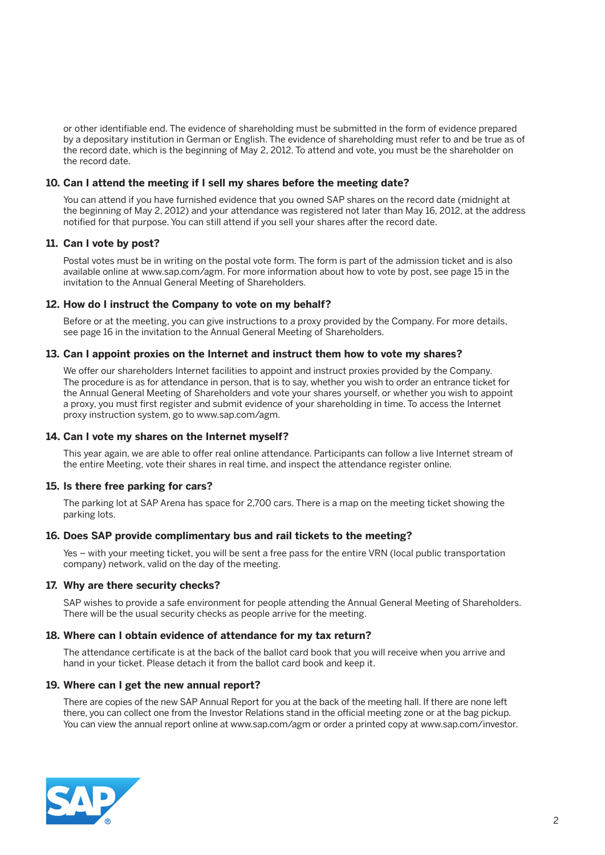or other identifiable end. The evidence of shareholding must be submitted in the form of evidence prepared by a depositary institution in German or English. The evidence of shareholding must refer to and be true as of the record date, which is the beginning of May 2, 2012. To attend and vote, you must be the shareholder on the record date.

#### **10. Can I attend the meeting if I sell my shares before the meeting date?**

 You can attend if you have furnished evidence that you owned SAP shares on the record date (midnight at the beginning of May 2, 2012) and your attendance was registered not later than May 16, 2012, at the address notified for that purpose. You can still attend if you sell your shares after the record date.

#### **11. Can I vote by post?**

 Postal votes must be in writing on the postal vote form. The form is part of the admission ticket and is also available online at www.sap.com/agm. For more information about how to vote by post, see page 15 in the invitation to the Annual General Meeting of Shareholders.

#### **12. How do I instruct the Company to vote on my behalf?**

 Before or at the meeting, you can give instructions to a proxy provided by the Company. For more details, see page 16 in the invitation to the Annual General Meeting of Shareholders.

#### **13. Can I appoint proxies on the Internet and instruct them how to vote my shares?**

 We offer our shareholders Internet facilities to appoint and instruct proxies provided by the Company. The procedure is as for attendance in person, that is to say, whether you wish to order an entrance ticket for the Annual General Meeting of Shareholders and vote your shares yourself, or whether you wish to appoint a proxy, you must first register and submit evidence of your shareholding in time. To access the Internet proxy instruction system, go to www.sap.com/agm.

#### **14. Can I vote my shares on the Internet myself?**

 This year again, we are able to offer real online attendance. Participants can follow a live Internet stream of the entire Meeting, vote their shares in real time, and inspect the attendance register online.

#### **15. Is there free parking for cars?**

 The parking lot at SAP Arena has space for 2,700 cars. There is a map on the meeting ticket showing the parking lots.

#### **16. Does SAP provide complimentary bus and rail tickets to the meeting?**

 Yes – with your meeting ticket, you will be sent a free pass for the entire VRN (local public transportation company) network, valid on the day of the meeting.

#### **17. Why are there security checks?**

 SAP wishes to provide a safe environment for people attending the Annual General Meeting of Shareholders. There will be the usual security checks as people arrive for the meeting.

#### **18. Where can I obtain evidence of attendance for my tax return?**

 The attendance certificate is at the back of the ballot card book that you will receive when you arrive and hand in your ticket. Please detach it from the ballot card book and keep it.

#### **19. Where can I get the new annual report?**

 There are copies of the new SAP Annual Report for you at the back of the meeting hall. If there are none left there, you can collect one from the Investor Relations stand in the official meeting zone or at the bag pickup. You can view the annual report online at www.sap.com/agm or order a printed copy at www.sap.com/investor.